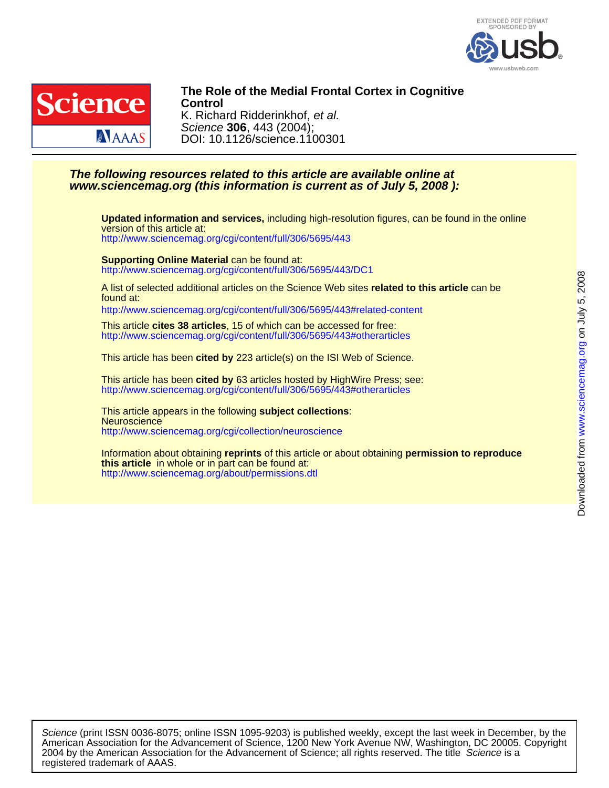



DOI: 10.1126/science.1100301 Science **306**, 443 (2004); K. Richard Ridderinkhof, et al. **Control The Role of the Medial Frontal Cortex in Cognitive**

# **www.sciencemag.org (this information is current as of July 5, 2008 ): The following resources related to this article are available online at**

<http://www.sciencemag.org/cgi/content/full/306/5695/443> version of this article at: **Updated information and services,** including high-resolution figures, can be found in the online

<http://www.sciencemag.org/cgi/content/full/306/5695/443/DC1> **Supporting Online Material** can be found at:

found at: A list of selected additional articles on the Science Web sites **related to this article** can be

<http://www.sciencemag.org/cgi/content/full/306/5695/443#related-content>

<http://www.sciencemag.org/cgi/content/full/306/5695/443#otherarticles> This article **cites 38 articles**, 15 of which can be accessed for free:

This article has been **cited by** 223 article(s) on the ISI Web of Science.

<http://www.sciencemag.org/cgi/content/full/306/5695/443#otherarticles> This article has been **cited by** 63 articles hosted by HighWire Press; see:

<http://www.sciencemag.org/cgi/collection/neuroscience> **Neuroscience** This article appears in the following **subject collections**:

<http://www.sciencemag.org/about/permissions.dtl> **this article** in whole or in part can be found at: Information about obtaining **reprints** of this article or about obtaining **permission to reproduce**

registered trademark of AAAS. 2004 by the American Association for the Advancement of Science; all rights reserved. The title Science is a American Association for the Advancement of Science, 1200 New York Avenue NW, Washington, DC 20005. Copyright Science (print ISSN 0036-8075; online ISSN 1095-9203) is published weekly, except the last week in December, by the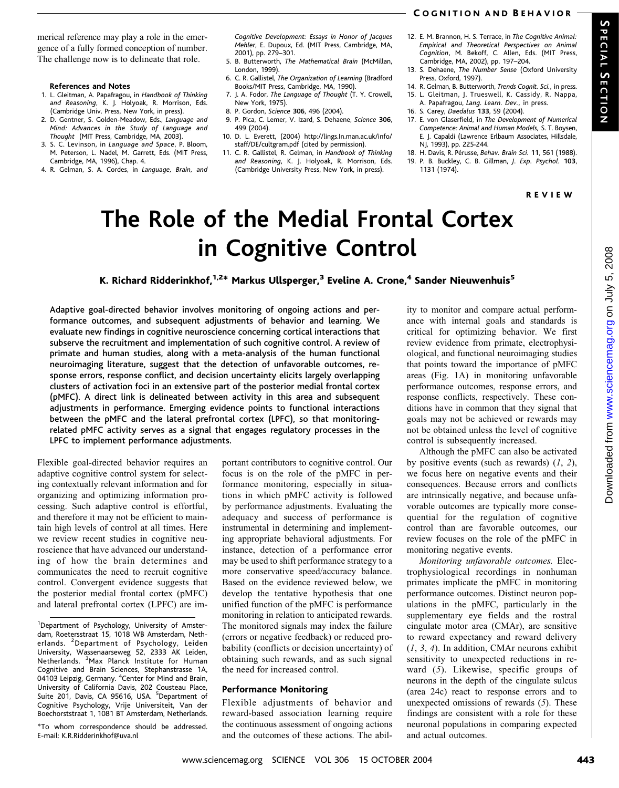n PECIAL n ECTION

www.sciencemag.orgon July 5, 2008

Downloaded from www.sciencemag.org on July 5, 2008

Downloaded from

merical reference may play a role in the emergence of a fully formed conception of number. The challenge now is to delineate that role.

#### References and Notes

- 1. L. Gleitman, A. Papafragou, in Handbook of Thinking and Reasoning, K. J. Holyoak, R. Morrison, Eds. (Cambridge Univ. Press, New York, in press).
- 2. D. Gentner, S. Golden-Meadow, Eds., Language and Mind: Advances in the Study of Language and Thought (MIT Press, Cambridge, MA, 2003).
- 3. S. C. Levinson, in Language and Space, P. Bloom, M. Peterson, L. Nadel, M. Garrett, Eds. (MIT Press, Cambridge, MA, 1996), Chap. 4.
- 4. R. Gelman, S. A. Cordes, in Language, Brain, and

Cognitive Development: Essays in Honor of Jacques Mehler, E. Dupoux, Ed. (MIT Press, Cambridge, MA, 2001), pp. 279–301.

- 5. B. Butterworth, The Mathematical Brain (McMillan, London, 1999).
- 6. C. R. Gallistel, The Organization of Learning (Bradford Books/MIT Press, Cambridge, MA, 1990). 7. J. A. Fodor, The Language of Thought (T. Y. Crowell,
- New York, 1975).
- 8. P. Gordon, Science 306, 496 (2004).
- 9. P. Pica, C. Lemer, V. Izard, S. Dehaene, Science 306, 499 (2004).
- 10. D. L. Everett, (2004) http://lings.In.man.ac.uk/info/ staff/DE/cultgram.pdf (cited by permission).
- 11. C. R. Gallistel, R. Gelman, in Handbook of Thinking and Reasoning, K. J. Holyoak, R. Morrison, Eds. (Cambridge University Press, New York, in press).
- 12. E. M. Brannon, H. S. Terrace, in The Cognitive Animal: Empirical and Theoretical Perspectives on Animal Cognition, M. Bekoff, C. Allen, Eds. (MIT Press, Cambridge, MA, 2002), pp. 197–204.
- 13. S. Dehaene, The Number Sense (Oxford University Press, Oxford, 1997).
- 14. R. Gelman, B. Butterworth, Trends Cognit. Sci., in press.
- 15. L. Gleitman, J. Trueswell, K. Cassidy, R. Nappa, A. Papafragou, Lang. Learn. Dev., in press.
	- 16. S. Carey, Daedalus 133, 59 (2004).
	- 17. E. von Glaserfield, in The Development of Numerical Competence: Animal and Human Models, S. T. Boysen, E. J. Capaldi (Lawrence Erlbaum Associates, Hillsdale, NJ, 1993), pp. 225<244.
	- 18. H. Davis, R. Pérusse, Behav. Brain Sci. 11, 561 (1988). 19. P. B. Buckley, C. B. Gillman, J. Exp. Psychol. 103,
	- 1131 (1974).

REVIEW

# The Role of the Medial Frontal Cortex in Cognitive Control

# K. Richard Ridderinkhof, <sup>1,2\*</sup> Markus Ullsperger, <sup>3</sup> Eveline A. Crone, <sup>4</sup> Sander Nieuwenhuis<sup>5</sup>

Adaptive goal-directed behavior involves monitoring of ongoing actions and performance outcomes, and subsequent adjustments of behavior and learning. We evaluate new findings in cognitive neuroscience concerning cortical interactions that subserve the recruitment and implementation of such cognitive control. A review of primate and human studies, along with a meta-analysis of the human functional neuroimaging literature, suggest that the detection of unfavorable outcomes, response errors, response conflict, and decision uncertainty elicits largely overlapping clusters of activation foci in an extensive part of the posterior medial frontal cortex (pMFC). A direct link is delineated between activity in this area and subsequent adjustments in performance. Emerging evidence points to functional interactions between the pMFC and the lateral prefrontal cortex (LPFC), so that monitoringrelated pMFC activity serves as a signal that engages regulatory processes in the LPFC to implement performance adjustments.

Flexible goal-directed behavior requires an adaptive cognitive control system for selecting contextually relevant information and for organizing and optimizing information processing. Such adaptive control is effortful, and therefore it may not be efficient to maintain high levels of control at all times. Here we review recent studies in cognitive neuroscience that have advanced our understanding of how the brain determines and communicates the need to recruit cognitive control. Convergent evidence suggests that the posterior medial frontal cortex (pMFC) and lateral prefrontal cortex (LPFC) are im-

\*To whom correspondence should be addressed. E-mail: K.R.Ridderinkhof@uva.nl

portant contributors to cognitive control. Our focus is on the role of the pMFC in performance monitoring, especially in situations in which pMFC activity is followed by performance adjustments. Evaluating the adequacy and success of performance is instrumental in determining and implementing appropriate behavioral adjustments. For instance, detection of a performance error may be used to shift performance strategy to a more conservative speed/accuracy balance. Based on the evidence reviewed below, we develop the tentative hypothesis that one unified function of the pMFC is performance monitoring in relation to anticipated rewards. The monitored signals may index the failure (errors or negative feedback) or reduced probability (conflicts or decision uncertainty) of obtaining such rewards, and as such signal the need for increased control.

## Performance Monitoring

Flexible adjustments of behavior and reward-based association learning require the continuous assessment of ongoing actions and the outcomes of these actions. The ability to monitor and compare actual performance with internal goals and standards is critical for optimizing behavior. We first review evidence from primate, electrophysiological, and functional neuroimaging studies that points toward the importance of pMFC areas (Fig. 1A) in monitoring unfavorable performance outcomes, response errors, and response conflicts, respectively. These conditions have in common that they signal that goals may not be achieved or rewards may not be obtained unless the level of cognitive control is subsequently increased.

Although the pMFC can also be activated by positive events (such as rewards)  $(1, 2)$ , we focus here on negative events and their consequences. Because errors and conflicts are intrinsically negative, and because unfavorable outcomes are typically more consequential for the regulation of cognitive control than are favorable outcomes, our review focuses on the role of the pMFC in monitoring negative events.

Monitoring unfavorable outcomes. Electrophysiological recordings in nonhuman primates implicate the pMFC in monitoring performance outcomes. Distinct neuron populations in the pMFC, particularly in the supplementary eye fields and the rostral cingulate motor area (CMAr), are sensitive to reward expectancy and reward delivery  $(1, 3, 4)$ . In addition, CMAr neurons exhibit sensitivity to unexpected reductions in reward (5). Likewise, specific groups of neurons in the depth of the cingulate sulcus (area 24c) react to response errors and to unexpected omissions of rewards (5). These findings are consistent with a role for these neuronal populations in comparing expected and actual outcomes.

<sup>&</sup>lt;sup>1</sup>Department of Psychology, University of Amsterdam, Roetersstraat 15, 1018 WB Amsterdam, Netherlands. <sup>2</sup>Department of Psychology, Leiden University, Wassenaarseweg 52, 2333 AK Leiden,<br>Netherlands. <sup>3</sup>Max Planck Institute for Human Cognitive and Brain Sciences, Stephanstrasse 1A, 04103 Leipzig, Germany. <sup>4</sup>Center for Mind and Brain, University of California Davis, 202 Cousteau Place, Suite 201, Davis, CA 95616, USA. <sup>5</sup>Department of Cognitive Psychology, Vrije Universiteit, Van der Boechorststraat 1, 1081 BT Amsterdam, Netherlands.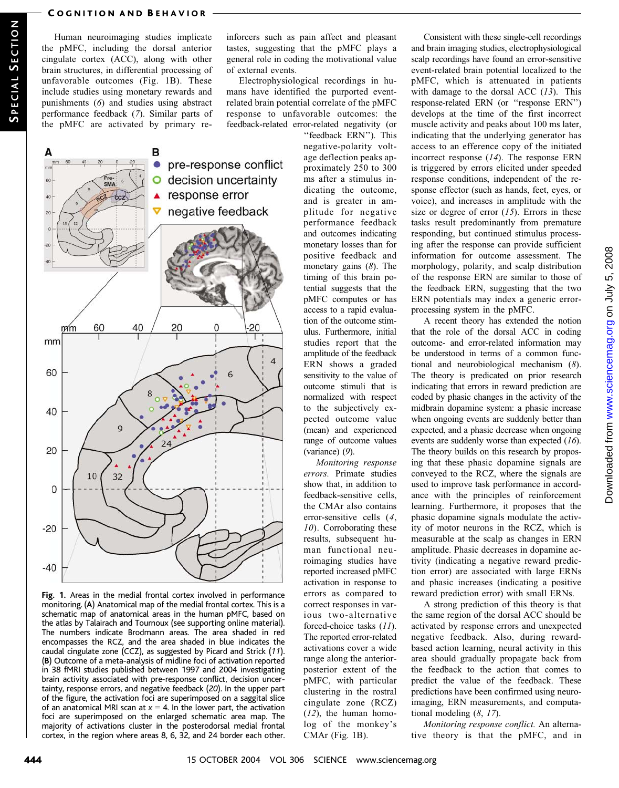Human neuroimaging studies implicate the pMFC, including the dorsal anterior cingulate cortex (ACC), along with other brain structures, in differential processing of unfavorable outcomes (Fig. 1B). These include studies using monetary rewards and punishments (6) and studies using abstract performance feedback (7). Similar parts of the pMFC are activated by primary re-

n PECIAL

n

**NOLDIN** 

B pre-response conflict decision uncertainty o response error negative feedback 60 40 20 C mm mm 60 6 40 9 20 10  $32$  $\mathbf{0}$  $-20$  $-40$ 

Fig. 1. Areas in the medial frontal cortex involved in performance monitoring. (A) Anatomical map of the medial frontal cortex. This is a schematic map of anatomical areas in the human pMFC, based on the atlas by Talairach and Tournoux (see supporting online material). The numbers indicate Brodmann areas. The area shaded in red encompasses the RCZ, and the area shaded in blue indicates the caudal cingulate zone (CCZ), as suggested by Picard and Strick (11). (B) Outcome of a meta-analysis of midline foci of activation reported in 38 fMRI studies published between 1997 and 2004 investigating brain activity associated with pre-response conflict, decision uncertainty, response errors, and negative feedback (20). In the upper part of the figure, the activation foci are superimposed on a saggital slice of an anatomical MRI scan at  $x = 4$ . In the lower part, the activation foci are superimposed on the enlarged schematic area map. The majority of activations cluster in the posterodorsal medial frontal cortex, in the region where areas 8, 6, 32, and 24 border each other.

inforcers such as pain affect and pleasant tastes, suggesting that the pMFC plays a general role in coding the motivational value of external events.

Electrophysiological recordings in humans have identified the purported eventrelated brain potential correlate of the pMFC response to unfavorable outcomes: the feedback-related error-related negativity (or

> ''feedback ERN''). This negative-polarity voltage deflection peaks approximately 250 to 300 ms after a stimulus indicating the outcome, and is greater in amplitude for negative performance feedback and outcomes indicating monetary losses than for positive feedback and monetary gains (8). The timing of this brain potential suggests that the pMFC computes or has access to a rapid evaluation of the outcome stimulus. Furthermore, initial studies report that the amplitude of the feedback ERN shows a graded sensitivity to the value of outcome stimuli that is normalized with respect to the subjectively expected outcome value (mean) and experienced range of outcome values (variance) (9).

> Monitoring response errors. Primate studies show that, in addition to feedback-sensitive cells, the CMAr also contains error-sensitive cells (4, 10). Corroborating these results, subsequent human functional neuroimaging studies have reported increased pMFC activation in response to errors as compared to correct responses in various two-alternative forced-choice tasks (11). The reported error-related activations cover a wide range along the anteriorposterior extent of the pMFC, with particular clustering in the rostral cingulate zone (RCZ) (12), the human homolog of the monkey's CMAr (Fig. 1B).

Consistent with these single-cell recordings and brain imaging studies, electrophysiological scalp recordings have found an error-sensitive event-related brain potential localized to the pMFC, which is attenuated in patients with damage to the dorsal ACC  $(13)$ . This response-related ERN (or ''response ERN'') develops at the time of the first incorrect muscle activity and peaks about 100 ms later, indicating that the underlying generator has access to an efference copy of the initiated incorrect response (14). The response ERN is triggered by errors elicited under speeded response conditions, independent of the response effector (such as hands, feet, eyes, or voice), and increases in amplitude with the size or degree of error  $(15)$ . Errors in these tasks result predominantly from premature responding, but continued stimulus processing after the response can provide sufficient information for outcome assessment. The morphology, polarity, and scalp distribution of the response ERN are similar to those of the feedback ERN, suggesting that the two ERN potentials may index a generic errorprocessing system in the pMFC.

A recent theory has extended the notion that the role of the dorsal ACC in coding outcome- and error-related information may be understood in terms of a common functional and neurobiological mechanism (8). The theory is predicated on prior research indicating that errors in reward prediction are coded by phasic changes in the activity of the midbrain dopamine system: a phasic increase when ongoing events are suddenly better than expected, and a phasic decrease when ongoing events are suddenly worse than expected (16). The theory builds on this research by proposing that these phasic dopamine signals are conveyed to the RCZ, where the signals are used to improve task performance in accordance with the principles of reinforcement learning. Furthermore, it proposes that the phasic dopamine signals modulate the activity of motor neurons in the RCZ, which is measurable at the scalp as changes in ERN amplitude. Phasic decreases in dopamine activity (indicating a negative reward prediction error) are associated with large ERNs and phasic increases (indicating a positive reward prediction error) with small ERNs.

A strong prediction of this theory is that the same region of the dorsal ACC should be activated by response errors and unexpected negative feedback. Also, during rewardbased action learning, neural activity in this area should gradually propagate back from the feedback to the action that comes to predict the value of the feedback. These predictions have been confirmed using neuroimaging, ERN measurements, and computational modeling  $(8, 17)$ .

Monitoring response conflict. An alternative theory is that the pMFC, and in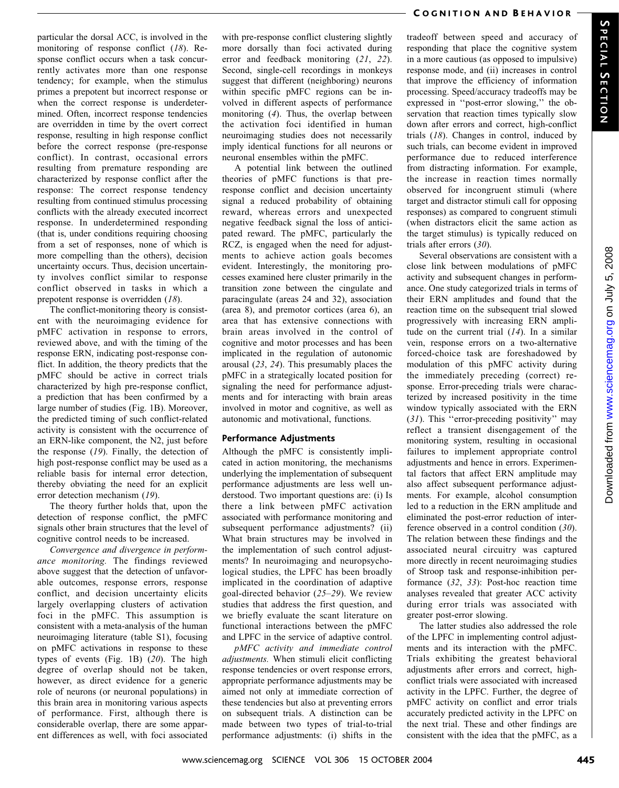particular the dorsal ACC, is involved in the monitoring of response conflict (18). Response conflict occurs when a task concurrently activates more than one response tendency; for example, when the stimulus primes a prepotent but incorrect response or when the correct response is underdetermined. Often, incorrect response tendencies are overridden in time by the overt correct response, resulting in high response conflict before the correct response (pre-response conflict). In contrast, occasional errors resulting from premature responding are characterized by response conflict after the response: The correct response tendency resulting from continued stimulus processing conflicts with the already executed incorrect response. In underdetermined responding (that is, under conditions requiring choosing from a set of responses, none of which is more compelling than the others), decision uncertainty occurs. Thus, decision uncertainty involves conflict similar to response conflict observed in tasks in which a prepotent response is overridden (18).

The conflict-monitoring theory is consistent with the neuroimaging evidence for pMFC activation in response to errors, reviewed above, and with the timing of the response ERN, indicating post-response conflict. In addition, the theory predicts that the pMFC should be active in correct trials characterized by high pre-response conflict, a prediction that has been confirmed by a large number of studies (Fig. 1B). Moreover, the predicted timing of such conflict-related activity is consistent with the occurrence of an ERN-like component, the N2, just before the response (19). Finally, the detection of high post-response conflict may be used as a reliable basis for internal error detection, thereby obviating the need for an explicit error detection mechanism (19).

The theory further holds that, upon the detection of response conflict, the pMFC signals other brain structures that the level of cognitive control needs to be increased.

Convergence and divergence in performance monitoring. The findings reviewed above suggest that the detection of unfavorable outcomes, response errors, response conflict, and decision uncertainty elicits largely overlapping clusters of activation foci in the pMFC. This assumption is consistent with a meta-analysis of the human neuroimaging literature (table S1), focusing on pMFC activations in response to these types of events (Fig. 1B) (20). The high degree of overlap should not be taken, however, as direct evidence for a generic role of neurons (or neuronal populations) in this brain area in monitoring various aspects of performance. First, although there is considerable overlap, there are some apparent differences as well, with foci associated

with pre-response conflict clustering slightly more dorsally than foci activated during error and feedback monitoring (21, 22). Second, single-cell recordings in monkeys suggest that different (neighboring) neurons within specific pMFC regions can be involved in different aspects of performance monitoring (4). Thus, the overlap between the activation foci identified in human neuroimaging studies does not necessarily imply identical functions for all neurons or neuronal ensembles within the pMFC.

A potential link between the outlined theories of pMFC functions is that preresponse conflict and decision uncertainty signal a reduced probability of obtaining reward, whereas errors and unexpected negative feedback signal the loss of anticipated reward. The pMFC, particularly the RCZ, is engaged when the need for adjustments to achieve action goals becomes evident. Interestingly, the monitoring processes examined here cluster primarily in the transition zone between the cingulate and paracingulate (areas 24 and 32), association (area 8), and premotor cortices (area 6), an area that has extensive connections with brain areas involved in the control of cognitive and motor processes and has been implicated in the regulation of autonomic arousal (23, 24). This presumably places the pMFC in a strategically located position for signaling the need for performance adjustments and for interacting with brain areas involved in motor and cognitive, as well as autonomic and motivational, functions.

### Performance Adjustments

Although the pMFC is consistently implicated in action monitoring, the mechanisms underlying the implementation of subsequent performance adjustments are less well understood. Two important questions are: (i) Is there a link between pMFC activation associated with performance monitoring and subsequent performance adjustments? (ii) What brain structures may be involved in the implementation of such control adjustments? In neuroimaging and neuropsychological studies, the LPFC has been broadly implicated in the coordination of adaptive goal-directed behavior (25–29). We review studies that address the first question, and we briefly evaluate the scant literature on functional interactions between the pMFC and LPFC in the service of adaptive control.

pMFC activity and immediate control adjustments. When stimuli elicit conflicting response tendencies or overt response errors, appropriate performance adjustments may be aimed not only at immediate correction of these tendencies but also at preventing errors on subsequent trials. A distinction can be made between two types of trial-to-trial performance adjustments: (i) shifts in the

tradeoff between speed and accuracy of responding that place the cognitive system in a more cautious (as opposed to impulsive) response mode, and (ii) increases in control that improve the efficiency of information processing. Speed/accuracy tradeoffs may be expressed in ''post-error slowing,'' the observation that reaction times typically slow down after errors and correct, high-conflict trials (18). Changes in control, induced by such trials, can become evident in improved performance due to reduced interference from distracting information. For example, the increase in reaction times normally observed for incongruent stimuli (where target and distractor stimuli call for opposing responses) as compared to congruent stimuli (when distractors elicit the same action as the target stimulus) is typically reduced on trials after errors (30).

Several observations are consistent with a close link between modulations of pMFC activity and subsequent changes in performance. One study categorized trials in terms of their ERN amplitudes and found that the reaction time on the subsequent trial slowed progressively with increasing ERN amplitude on the current trial  $(14)$ . In a similar vein, response errors on a two-alternative forced-choice task are foreshadowed by modulation of this pMFC activity during the immediately preceding (correct) response. Error-preceding trials were characterized by increased positivity in the time window typically associated with the ERN (31). This ''error-preceding positivity'' may reflect a transient disengagement of the monitoring system, resulting in occasional failures to implement appropriate control adjustments and hence in errors. Experimental factors that affect ERN amplitude may also affect subsequent performance adjustments. For example, alcohol consumption led to a reduction in the ERN amplitude and eliminated the post-error reduction of interference observed in a control condition (30). The relation between these findings and the associated neural circuitry was captured more directly in recent neuroimaging studies of Stroop task and response-inhibition performance (32, 33): Post-hoc reaction time analyses revealed that greater ACC activity during error trials was associated with greater post-error slowing.

The latter studies also addressed the role of the LPFC in implementing control adjustments and its interaction with the pMFC. Trials exhibiting the greatest behavioral adjustments after errors and correct, highconflict trials were associated with increased activity in the LPFC. Further, the degree of pMFC activity on conflict and error trials accurately predicted activity in the LPFC on the next trial. These and other findings are consistent with the idea that the pMFC, as a

n

PECIAL

n

ECTION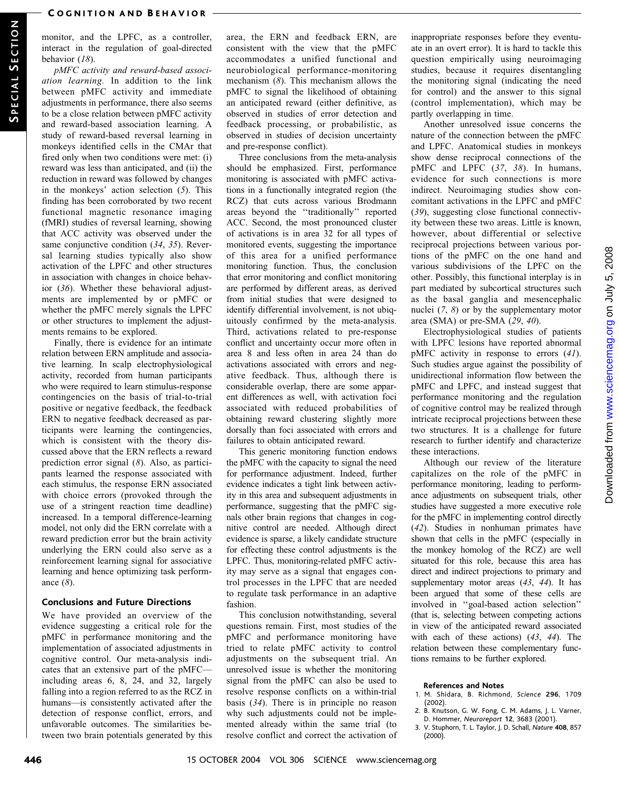monitor, and the LPFC, as a controller, interact in the regulation of goal-directed behavior (18).

pMFC activity and reward-based association learning. In addition to the link between pMFC activity and immediate adjustments in performance, there also seems to be a close relation between pMFC activity and reward-based association learning. A study of reward-based reversal learning in monkeys identified cells in the CMAr that fired only when two conditions were met: (i) reward was less than anticipated, and (ii) the reduction in reward was followed by changes in the monkeys' action selection (5). This finding has been corroborated by two recent functional magnetic resonance imaging (fMRI) studies of reversal learning, showing that ACC activity was observed under the same conjunctive condition (34, 35). Reversal learning studies typically also show activation of the LPFC and other structures in association with changes in choice behavior (36). Whether these behavioral adjustments are implemented by or pMFC or whether the pMFC merely signals the LPFC or other structures to implement the adjustments remains to be explored.

Finally, there is evidence for an intimate relation between ERN amplitude and associative learning. In scalp electrophysiological activity, recorded from human participants who were required to learn stimulus-response contingencies on the basis of trial-to-trial positive or negative feedback, the feedback ERN to negative feedback decreased as participants were learning the contingencies, which is consistent with the theory discussed above that the ERN reflects a reward prediction error signal (8). Also, as participants learned the response associated with each stimulus, the response ERN associated with choice errors (provoked through the use of a stringent reaction time deadline) increased. In a temporal difference-learning model, not only did the ERN correlate with a reward prediction error but the brain activity underlying the ERN could also serve as a reinforcement learning signal for associative learning and hence optimizing task performance  $(8)$ .

## Conclusions and Future Directions

We have provided an overview of the evidence suggesting a critical role for the pMFC in performance monitoring and the implementation of associated adjustments in cognitive control. Our meta-analysis indicates that an extensive part of the pMFC including areas 6, 8, 24, and 32, largely falling into a region referred to as the RCZ in humans—is consistently activated after the detection of response conflict, errors, and unfavorable outcomes. The similarities between two brain potentials generated by this

area, the ERN and feedback ERN, are consistent with the view that the pMFC accommodates a unified functional and neurobiological performance-monitoring mechanism (8). This mechanism allows the pMFC to signal the likelihood of obtaining an anticipated reward (either definitive, as observed in studies of error detection and feedback processing, or probabilistic, as observed in studies of decision uncertainty and pre-response conflict).

Three conclusions from the meta-analysis should be emphasized. First, performance monitoring is associated with pMFC activations in a functionally integrated region (the RCZ) that cuts across various Brodmann areas beyond the ''traditionally'' reported ACC. Second, the most pronounced cluster of activations is in area 32 for all types of monitored events, suggesting the importance of this area for a unified performance monitoring function. Thus, the conclusion that error monitoring and conflict monitoring are performed by different areas, as derived from initial studies that were designed to identify differential involvement, is not ubiquitously confirmed by the meta-analysis. Third, activations related to pre-response conflict and uncertainty occur more often in area 8 and less often in area 24 than do activations associated with errors and negative feedback. Thus, although there is considerable overlap, there are some apparent differences as well, with activation foci associated with reduced probabilities of obtaining reward clustering slightly more dorsally than foci associated with errors and failures to obtain anticipated reward.

This generic monitoring function endows the pMFC with the capacity to signal the need for performance adjustment. Indeed, further evidence indicates a tight link between activity in this area and subsequent adjustments in performance, suggesting that the pMFC signals other brain regions that changes in cognitive control are needed. Although direct evidence is sparse, a likely candidate structure for effecting these control adjustments is the LPFC. Thus, monitoring-related pMFC activity may serve as a signal that engages control processes in the LPFC that are needed to regulate task performance in an adaptive fashion.

This conclusion notwithstanding, several questions remain. First, most studies of the pMFC and performance monitoring have tried to relate pMFC activity to control adjustments on the subsequent trial. An unresolved issue is whether the monitoring signal from the pMFC can also be used to resolve response conflicts on a within-trial basis (34). There is in principle no reason why such adjustments could not be implemented already within the same trial (to resolve conflict and correct the activation of inappropriate responses before they eventuate in an overt error). It is hard to tackle this question empirically using neuroimaging studies, because it requires disentangling the monitoring signal (indicating the need for control) and the answer to this signal (control implementation), which may be partly overlapping in time.

Another unresolved issue concerns the nature of the connection between the pMFC and LPFC. Anatomical studies in monkeys show dense reciprocal connections of the pMFC and LPFC (37, 38). In humans, evidence for such connections is more indirect. Neuroimaging studies show concomitant activations in the LPFC and pMFC (39), suggesting close functional connectivity between these two areas. Little is known, however, about differential or selective reciprocal projections between various portions of the pMFC on the one hand and various subdivisions of the LPFC on the other. Possibly, this functional interplay is in part mediated by subcortical structures such as the basal ganglia and mesencephalic nuclei (7, 8) or by the supplementary motor area (SMA) or pre-SMA (29, 40).

Electrophysiological studies of patients with LPFC lesions have reported abnormal pMFC activity in response to errors (41). Such studies argue against the possibility of unidirectional information flow between the pMFC and LPFC, and instead suggest that performance monitoring and the regulation of cognitive control may be realized through intricate reciprocal projections between these two structures. It is a challenge for future research to further identify and characterize these interactions.

Although our review of the literature capitalizes on the role of the pMFC in performance monitoring, leading to performance adjustments on subsequent trials, other studies have suggested a more executive role for the pMFC in implementing control directly (42). Studies in nonhuman primates have shown that cells in the pMFC (especially in the monkey homolog of the RCZ) are well situated for this role, because this area has direct and indirect projections to primary and supplementary motor areas  $(43, 44)$ . It has been argued that some of these cells are involved in ''goal-based action selection'' (that is, selecting between competing actions in view of the anticipated reward associated with each of these actions) (43, 44). The relation between these complementary functions remains to be further explored.

### References and Notes

- 1. M. Shidara, B. Richmond, Science 296, 1709 (2002).
- 2. B. Knutson, G. W. Fong, C. M. Adams, J. L. Varner, D. Hommer, Neuroreport 12, 3683 (2001).
- 3. V. Stuphorn, T. L. Taylor, J. D. Schall, Nature 408, 857 (2000).